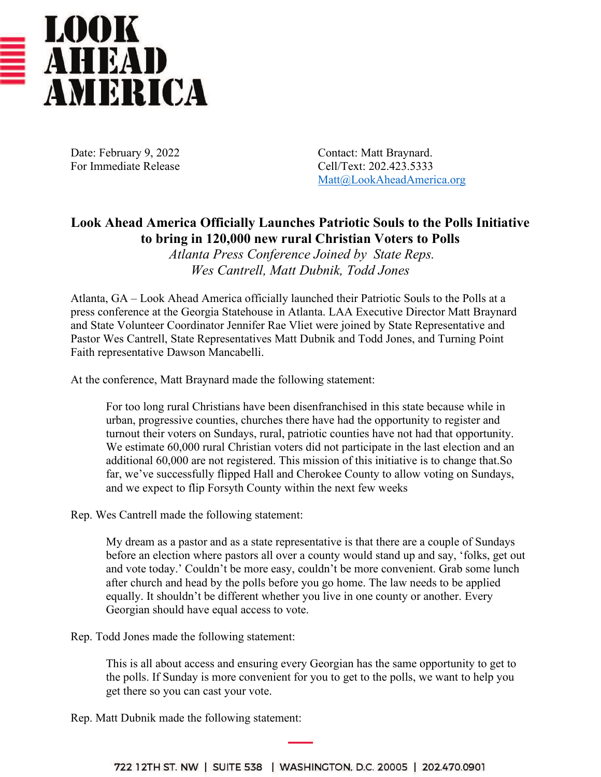

Date: February 9, 2022 Contact: Matt Braynard. For Immediate Release Cell/Text: 202.423.5333 [Matt@LookAheadAmerica.org](mailto:Matt@LookAheadAmerica.org)

## **Look Ahead America Officially Launches Patriotic Souls to the Polls Initiative to bring in 120,000 new rural Christian Voters to Polls**

*Atlanta Press Conference Joined by State Reps. Wes Cantrell, Matt Dubnik, Todd Jones*

Atlanta, GA – Look Ahead America officially launched their Patriotic Souls to the Polls at a press conference at the Georgia Statehouse in Atlanta. LAA Executive Director Matt Braynard and State Volunteer Coordinator Jennifer Rae Vliet were joined by State Representative and Pastor Wes Cantrell, State Representatives Matt Dubnik and Todd Jones, and Turning Point Faith representative Dawson Mancabelli.

At the conference, Matt Braynard made the following statement:

For too long rural Christians have been disenfranchised in this state because while in urban, progressive counties, churches there have had the opportunity to register and turnout their voters on Sundays, rural, patriotic counties have not had that opportunity. We estimate 60,000 rural Christian voters did not participate in the last election and an additional 60,000 are not registered. This mission of this initiative is to change that.So far, we've successfully flipped Hall and Cherokee County to allow voting on Sundays, and we expect to flip Forsyth County within the next few weeks

Rep. Wes Cantrell made the following statement:

My dream as a pastor and as a state representative is that there are a couple of Sundays before an election where pastors all over a county would stand up and say, 'folks, get out and vote today.' Couldn't be more easy, couldn't be more convenient. Grab some lunch after church and head by the polls before you go home. The law needs to be applied equally. It shouldn't be different whether you live in one county or another. Every Georgian should have equal access to vote.

Rep. Todd Jones made the following statement:

This is all about access and ensuring every Georgian has the same opportunity to get to the polls. If Sunday is more convenient for you to get to the polls, we want to help you get there so you can cast your vote.

Rep. Matt Dubnik made the following statement: